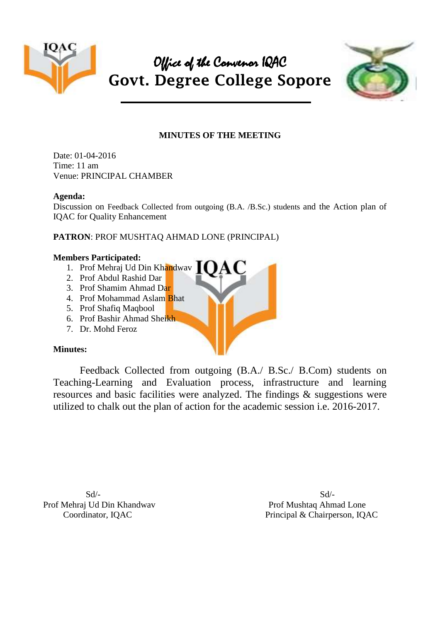

# Office of the Convenor IQAC **Govt. Degree College Sopore**



## **MINUTES OF THE MEETING**

Date: 01-04-2016 Time: 11 am Venue: PRINCIPAL CHAMBER

#### **Agenda:**

Discussion on Feedback Collected from outgoing (B.A. /B.Sc.) students and the Action plan of IQAC for Quality Enhancement

## **PATRON**: PROF MUSHTAQ AHMAD LONE (PRINCIPAL)

#### **Members Participated:**

- 1. Prof Mehraj Ud Din Khandway
- 2. Prof Abdul Rashid Dar
- 3. Prof Shamim Ahmad Dar
- 4. Prof Mohammad Aslam Bhat
- 5. Prof Shafiq Maqbool
- 6. Prof Bashir Ahmad Sheikh
- 7. Dr. Mohd Feroz

### **Minutes:**

Feedback Collected from outgoing (B.A./ B.Sc./ B.Com) students on Teaching-Learning and Evaluation process, infrastructure and learning resources and basic facilities were analyzed. The findings & suggestions were utilized to chalk out the plan of action for the academic session i.e. 2016-2017.

 $Sd$ - $Sd$ -Prof Mehraj Ud Din Khandwav Prof Mushtaq Ahmad Lone

Coordinator, IQAC Principal & Chairperson, IQAC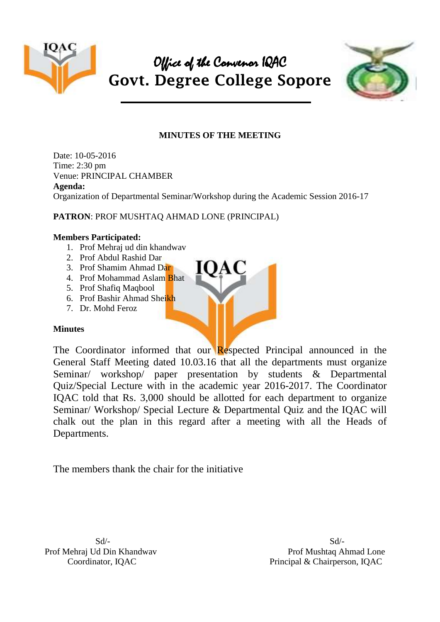



## **MINUTES OF THE MEETING**

Date: 10-05-2016 Time: 2:30 pm Venue: PRINCIPAL CHAMBER **Agenda:** Organization of Departmental Seminar/Workshop during the Academic Session 2016-17

## **PATRON**: PROF MUSHTAQ AHMAD LONE (PRINCIPAL)

### **Members Participated:**

- 1. Prof Mehraj ud din khandwav
- 2. Prof Abdul Rashid Dar
- 3. Prof Shamim Ahmad Dar
- 4. Prof Mohammad Aslam Bhat
- 5. Prof Shafiq Maqbool
- 6. Prof Bashir Ahmad Sheikh
- 7. Dr. Mohd Feroz

### **Minutes**

The Coordinator informed that our Respected Principal announced in the General Staff Meeting dated 10.03.16 that all the departments must organize Seminar/ workshop/ paper presentation by students & Departmental Quiz/Special Lecture with in the academic year 2016-2017. The Coordinator IQAC told that Rs. 3,000 should be allotted for each department to organize Seminar/ Workshop/ Special Lecture & Departmental Quiz and the IQAC will chalk out the plan in this regard after a meeting with all the Heads of Departments.

The members thank the chair for the initiative

 $Sd$ - $Sd$ -Prof Mehraj Ud Din Khandwav Prof Mushtaq Ahmad Lone Coordinator, IOAC Principal & Chairperson, IOAC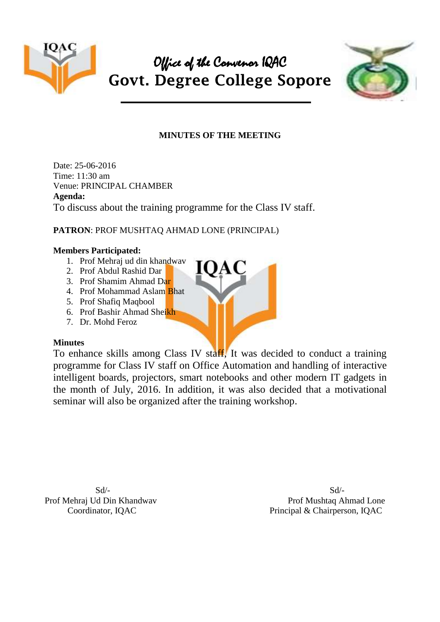



## **MINUTES OF THE MEETING**

Date: 25-06-2016 Time: 11:30 am Venue: PRINCIPAL CHAMBER **Agenda:** To discuss about the training programme for the Class IV staff.

## **PATRON**: PROF MUSHTAQ AHMAD LONE (PRINCIPAL)

### **Members Participated:**

- 1. Prof Mehraj ud din khandwav
- 2. Prof Abdul Rashid Dar
- 3. Prof Shamim Ahmad Dar
- 4. Prof Mohammad Aslam Bhat
- 5. Prof Shafiq Maqbool
- 6. Prof Bashir Ahmad Sheikh
- 7. Dr. Mohd Feroz

## **Minutes**

To enhance skills among Class IV staff, It was decided to conduct a training programme for Class IV staff on Office Automation and handling of interactive intelligent boards, projectors, smart notebooks and other modern IT gadgets in the month of July, 2016. In addition, it was also decided that a motivational seminar will also be organized after the training workshop.

 $Sd$ - $Sd$ -Prof Mehraj Ud Din Khandwav Prof Mushtaq Ahmad Lone Coordinator, IQAC Principal & Chairperson, IQAC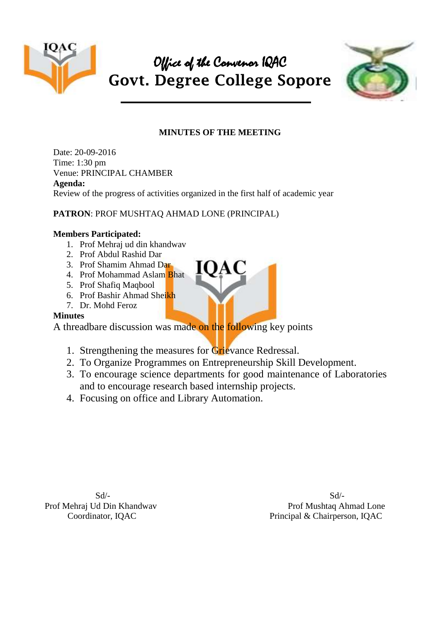

# Office of the Convenor IQAC **Govt. Degree College Sopore**



# **MINUTES OF THE MEETING**

Date: 20-09-2016 Time: 1:30 pm Venue: PRINCIPAL CHAMBER **Agenda:** Review of the progress of activities organized in the first half of academic year

## **PATRON**: PROF MUSHTAQ AHMAD LONE (PRINCIPAL)

### **Members Participated:**

- 1. Prof Mehraj ud din khandwav
- 2. Prof Abdul Rashid Dar
- 3. Prof Shamim Ahmad Dar
- 4. Prof Mohammad Aslam Bhat
- 5. Prof Shafiq Maqbool
- 6. Prof Bashir Ahmad Sheikh
- 7. Dr. Mohd Feroz

## **Minutes**

A threadbare discussion was made on the following key points

- 1. Strengthening the measures for Grievance Redressal.
- 2. To Organize Programmes on Entrepreneurship Skill Development.
- 3. To encourage science departments for good maintenance of Laboratories and to encourage research based internship projects.
- 4. Focusing on office and Library Automation.

 $Sd$ - $Sd$ -Prof Mehraj Ud Din Khandwav Prof Mushtaq Ahmad Lone Coordinator, IQAC Principal & Chairperson, IQAC